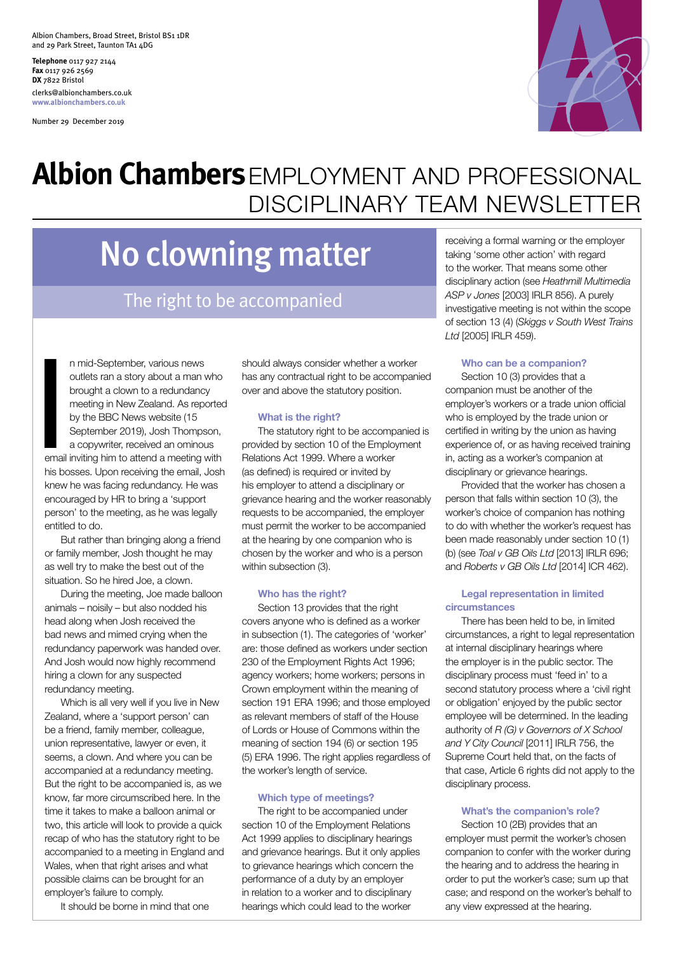Albion Chambers, Broad Street, Bristol BS1 1DR and 29 Park Street, Taunton TA1 4DG

**Telephone** 0117 927 2144 **Fax** 0117 926 2569 **DX** 7822 Bristol clerks@albionchambers.co.uk **www.albionchambers.co.uk**

Number 29 December 2019



# **Albion Chambers**EMPLOYMENT AND PROFESSIONAL DISCIPLINARY TEAM NEWSLETTER

# No clowning matter

### The right to be accompanied

n mid-September, various news outlets ran a story about a man who brought a clown to a redundancy meeting in New Zealand. As reported by the BBC News website (15 September 2019), Josh Thompson, In mid-September, various news should always consider whether a worker<br>
outlets ran a story about a man who<br>
brought a clown to a redundancy<br>
meeting in New Zealand. As reported<br>
by the BBC News website (15<br>
September 2019

a copywriter, received an ominous email inviting him to attend a meeting with his bosses. Upon receiving the email, Josh knew he was facing redundancy. He was encouraged by HR to bring a 'support person' to the meeting, as he was legally entitled to do.

But rather than bringing along a friend or family member, Josh thought he may as well try to make the best out of the situation. So he hired Joe, a clown.

During the meeting, Joe made balloon animals – noisily – but also nodded his head along when Josh received the bad news and mimed crying when the redundancy paperwork was handed over. And Josh would now highly recommend hiring a clown for any suspected redundancy meeting.

Which is all very well if you live in New Zealand, where a 'support person' can be a friend, family member, colleague, union representative, lawyer or even, it seems, a clown. And where you can be accompanied at a redundancy meeting. But the right to be accompanied is, as we know, far more circumscribed here. In the time it takes to make a balloon animal or two, this article will look to provide a quick recap of who has the statutory right to be accompanied to a meeting in England and Wales, when that right arises and what possible claims can be brought for an employer's failure to comply.

It should be borne in mind that one

has any contractual right to be accompanied over and above the statutory position.

#### **What is the right?**

The statutory right to be accompanied is provided by section 10 of the Employment Relations Act 1999. Where a worker (as defined) is required or invited by his employer to attend a disciplinary or grievance hearing and the worker reasonably requests to be accompanied, the employer must permit the worker to be accompanied at the hearing by one companion who is chosen by the worker and who is a person within subsection (3).

#### **Who has the right?**

Section 13 provides that the right covers anyone who is defined as a worker in subsection (1). The categories of 'worker' are: those defined as workers under section 230 of the Employment Rights Act 1996; agency workers; home workers; persons in Crown employment within the meaning of section 191 ERA 1996; and those employed as relevant members of staff of the House of Lords or House of Commons within the meaning of section 194 (6) or section 195 (5) ERA 1996. The right applies regardless of the worker's length of service.

#### **Which type of meetings?**

The right to be accompanied under section 10 of the Employment Relations Act 1999 applies to disciplinary hearings and grievance hearings. But it only applies to grievance hearings which concern the performance of a duty by an employer in relation to a worker and to disciplinary hearings which could lead to the worker

receiving a formal warning or the employer taking 'some other action' with regard to the worker. That means some other disciplinary action (see *Heathmill Multimedia ASP v Jones* [2003] IRLR 856). A purely investigative meeting is not within the scope of section 13 (4) (*Skiggs v South West Trains Ltd* [2005] IRLR 459).

#### **Who can be a companion?**

Section 10 (3) provides that a companion must be another of the employer's workers or a trade union official who is employed by the trade union or certified in writing by the union as having experience of, or as having received training in, acting as a worker's companion at disciplinary or grievance hearings.

Provided that the worker has chosen a person that falls within section 10 (3), the worker's choice of companion has nothing to do with whether the worker's request has been made reasonably under section 10 (1) (b) (see *Toal v GB Oils Ltd* [2013] IRLR 696; and *Roberts v GB Oils Ltd* [2014] ICR 462).

#### **Legal representation in limited circumstances**

There has been held to be, in limited circumstances, a right to legal representation at internal disciplinary hearings where the employer is in the public sector. The disciplinary process must 'feed in' to a second statutory process where a 'civil right or obligation' enjoyed by the public sector employee will be determined. In the leading authority of *R (G) v Governors of X School and Y City Council* [2011] IRLR 756, the Supreme Court held that, on the facts of that case, Article 6 rights did not apply to the disciplinary process.

#### **What's the companion's role?**

Section 10 (2B) provides that an employer must permit the worker's chosen companion to confer with the worker during the hearing and to address the hearing in order to put the worker's case; sum up that case; and respond on the worker's behalf to any view expressed at the hearing.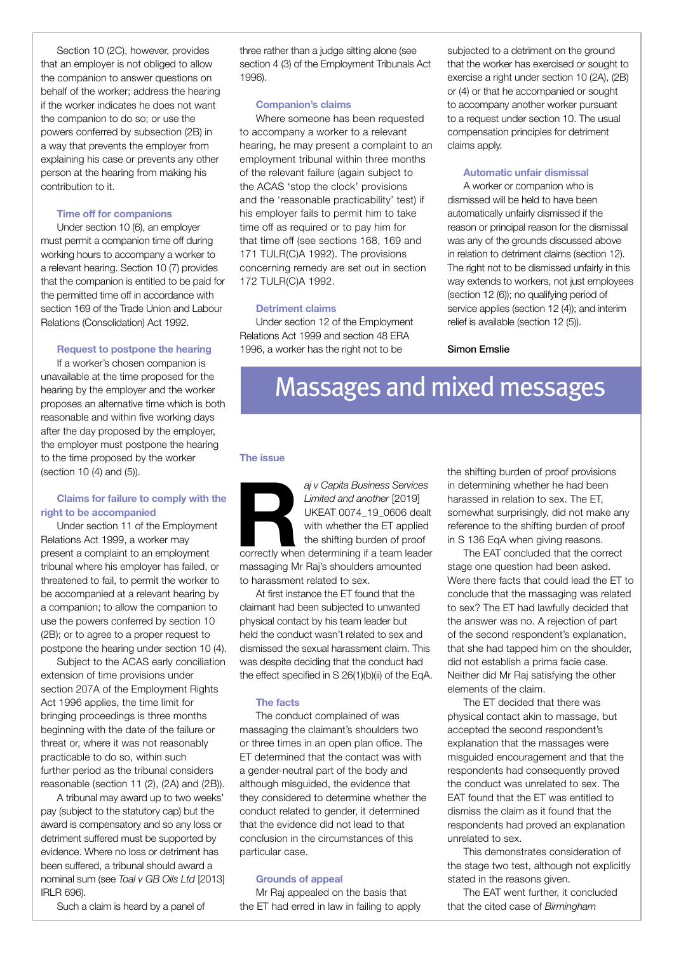Section 10 (2C), however, provides that an employer is not obliged to allow the companion to answer questions on behalf of the worker; address the hearing if the worker indicates he does not want the companion to do so; or use the powers conferred by subsection (2B) in a way that prevents the employer from explaining his case or prevents any other person at the hearing from making his contribution to it.

#### **Time off for companions**

Under section 10 (6), an employer must permit a companion time off during working hours to accompany a worker to a relevant hearing. Section 10 (7) provides that the companion is entitled to be paid for the permitted time off in accordance with section 169 of the Trade Union and Labour Relations (Consolidation) Act 1992.

#### **Request to postpone the hearing**

If a worker's chosen companion is unavailable at the time proposed for the hearing by the employer and the worker proposes an alternative time which is both reasonable and within five working days after the day proposed by the employer, the employer must postpone the hearing to the time proposed by the worker (section 10 (4) and (5)).

#### **Claims for failure to comply with the right to be accompanied**

Under section 11 of the Employment Relations Act 1999, a worker may present a complaint to an employment tribunal where his employer has failed, or threatened to fail, to permit the worker to be accompanied at a relevant hearing by a companion; to allow the companion to use the powers conferred by section 10 (2B); or to agree to a proper request to postpone the hearing under section 10 (4).

Subject to the ACAS early conciliation extension of time provisions under section 207A of the Employment Rights Act 1996 applies, the time limit for bringing proceedings is three months beginning with the date of the failure or threat or, where it was not reasonably practicable to do so, within such further period as the tribunal considers reasonable (section 11 (2), (2A) and (2B)).

A tribunal may award up to two weeks' pay (subject to the statutory cap) but the award is compensatory and so any loss or detriment suffered must be supported by evidence. Where no loss or detriment has been suffered, a tribunal should award a nominal sum (see *Toal v GB Oils Ltd* [2013] IRLR 696).

Such a claim is heard by a panel of

three rather than a judge sitting alone (see section 4 (3) of the Employment Tribunals Act 1996).

#### **Companion's claims**

Where someone has been requested to accompany a worker to a relevant hearing, he may present a complaint to an employment tribunal within three months of the relevant failure (again subject to the ACAS 'stop the clock' provisions and the 'reasonable practicability' test) if his employer fails to permit him to take time off as required or to pay him for that time off (see sections 168, 169 and 171 TULR(C)A 1992). The provisions concerning remedy are set out in section 172 TULR(C)A 1992.

#### **Detriment claims**

Under section 12 of the Employment Relations Act 1999 and section 48 ERA 1996, a worker has the right not to be

subjected to a detriment on the ground that the worker has exercised or sought to exercise a right under section 10 (2A), (2B) or (4) or that he accompanied or sought to accompany another worker pursuant to a request under section 10. The usual compensation principles for detriment claims apply.

#### **Automatic unfair dismissal**

A worker or companion who is dismissed will be held to have been automatically unfairly dismissed if the reason or principal reason for the dismissal was any of the grounds discussed above in relation to detriment claims (section 12). The right not to be dismissed unfairly in this way extends to workers, not just employees (section 12 (6)); no qualifying period of service applies (section 12 (4)); and interim relief is available (section 12 (5)).

#### Simon Emslie

## Massages and mixed messages

#### **The issue**

*aj v Capita Business Services Limited and another* [2019] UKEAT 0074\_19\_0606 dealt with whether the ET applied the shifting burden of proof correctly when determining if a team leader aj v Capita Business Service<br>
Limited and another [2019]<br>
UKEAT 0074\_19\_0606 dee<br>
with whether the ET applie<br>
the shifting burden of proof<br>
correctly when determining if a team lead<br>
massaging Mr Raj's shoulders amounted

to harassment related to sex. At first instance the ET found that the claimant had been subjected to unwanted physical contact by his team leader but held the conduct wasn't related to sex and dismissed the sexual harassment claim. This was despite deciding that the conduct had the effect specified in S 26(1)(b)(ii) of the EqA.

#### **The facts**

The conduct complained of was massaging the claimant's shoulders two or three times in an open plan office. The ET determined that the contact was with a gender-neutral part of the body and although misguided, the evidence that they considered to determine whether the conduct related to gender, it determined that the evidence did not lead to that conclusion in the circumstances of this particular case.

#### **Grounds of appeal**

Mr Raj appealed on the basis that the ET had erred in law in failing to apply the shifting burden of proof provisions in determining whether he had been harassed in relation to sex. The ET, somewhat surprisingly, did not make any reference to the shifting burden of proof in S 136 EqA when giving reasons.

The EAT concluded that the correct stage one question had been asked. Were there facts that could lead the ET to conclude that the massaging was related to sex? The ET had lawfully decided that the answer was no. A rejection of part of the second respondent's explanation, that she had tapped him on the shoulder, did not establish a prima facie case. Neither did Mr Raj satisfying the other elements of the claim.

The ET decided that there was physical contact akin to massage, but accepted the second respondent's explanation that the massages were misguided encouragement and that the respondents had consequently proved the conduct was unrelated to sex. The EAT found that the ET was entitled to dismiss the claim as it found that the respondents had proved an explanation unrelated to sex.

This demonstrates consideration of the stage two test, although not explicitly stated in the reasons given.

The EAT went further, it concluded that the cited case of *Birmingham*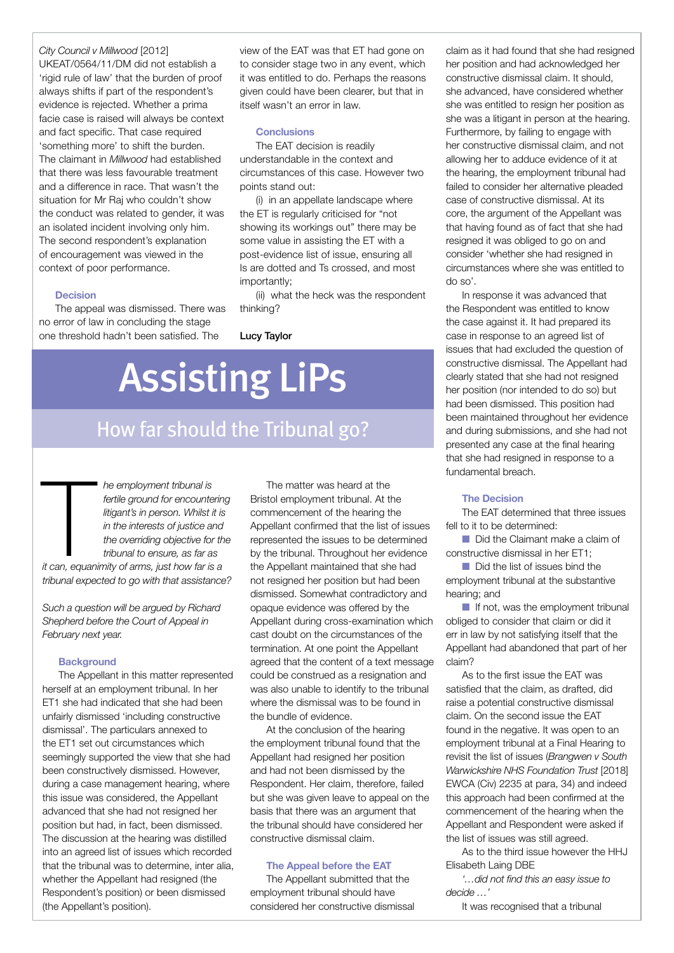#### *City Council v Millwood* [2012]

UKEAT/0564/11/DM did not establish a 'rigid rule of law' that the burden of proof always shifts if part of the respondent's evidence is rejected. Whether a prima facie case is raised will always be context and fact specific. That case required 'something more' to shift the burden. The claimant in *Millwood* had established that there was less favourable treatment and a difference in race. That wasn't the situation for Mr Raj who couldn't show the conduct was related to gender, it was an isolated incident involving only him. The second respondent's explanation of encouragement was viewed in the context of poor performance.

#### **Decision**

The appeal was dismissed. There was no error of law in concluding the stage one threshold hadn't been satisfied. The

view of the EAT was that ET had gone on to consider stage two in any event, which it was entitled to do. Perhaps the reasons given could have been clearer, but that in itself wasn't an error in law.

#### **Conclusions**

The EAT decision is readily understandable in the context and circumstances of this case. However two points stand out:

(i) in an appellate landscape where the ET is regularly criticised for "not showing its workings out" there may be some value in assisting the ET with a post-evidence list of issue, ensuring all Is are dotted and Ts crossed, and most importantly;

(ii) what the heck was the respondent thinking?

#### Lucy Taylor

# Assisting LiPs

## How far should the Tribunal go?

*he employment tribunal is fertile ground for encountering litigant's in person. Whilst it is in the interests of justice and the overriding objective for the tribunal to ensure, as far as is the employment tribunal is*<br>*fertile ground for encounterin*<br>*litigant's in person. Whilst it is<br>in the interests of justice and<br>the overriding objective for th<br>tribunal to ensure, as far as<br>it can, equanimity of arms,* 

*tribunal expected to go with that assistance?* 

*Such a question will be argued by Richard Shepherd before the Court of Appeal in February next year.*

#### **Background**

The Appellant in this matter represented herself at an employment tribunal. In her ET1 she had indicated that she had been unfairly dismissed 'including constructive dismissal'. The particulars annexed to the ET1 set out circumstances which seemingly supported the view that she had been constructively dismissed. However, during a case management hearing, where this issue was considered, the Appellant advanced that she had not resigned her position but had, in fact, been dismissed. The discussion at the hearing was distilled into an agreed list of issues which recorded that the tribunal was to determine, inter alia, whether the Appellant had resigned (the Respondent's position) or been dismissed (the Appellant's position).

The matter was heard at the Bristol employment tribunal. At the commencement of the hearing the Appellant confirmed that the list of issues represented the issues to be determined by the tribunal. Throughout her evidence the Appellant maintained that she had not resigned her position but had been dismissed. Somewhat contradictory and opaque evidence was offered by the Appellant during cross-examination which cast doubt on the circumstances of the termination. At one point the Appellant agreed that the content of a text message could be construed as a resignation and was also unable to identify to the tribunal where the dismissal was to be found in the bundle of evidence.

At the conclusion of the hearing the employment tribunal found that the Appellant had resigned her position and had not been dismissed by the Respondent. Her claim, therefore, failed but she was given leave to appeal on the basis that there was an argument that the tribunal should have considered her constructive dismissal claim.

#### **The Appeal before the EAT**

The Appellant submitted that the employment tribunal should have considered her constructive dismissal

claim as it had found that she had resigned her position and had acknowledged her constructive dismissal claim. It should, she advanced, have considered whether she was entitled to resign her position as she was a litigant in person at the hearing. Furthermore, by failing to engage with her constructive dismissal claim, and not allowing her to adduce evidence of it at the hearing, the employment tribunal had failed to consider her alternative pleaded case of constructive dismissal. At its core, the argument of the Appellant was that having found as of fact that she had resigned it was obliged to go on and consider 'whether she had resigned in circumstances where she was entitled to do so'.

In response it was advanced that the Respondent was entitled to know the case against it. It had prepared its case in response to an agreed list of issues that had excluded the question of constructive dismissal. The Appellant had clearly stated that she had not resigned her position (nor intended to do so) but had been dismissed. This position had been maintained throughout her evidence and during submissions, and she had not presented any case at the final hearing that she had resigned in response to a fundamental breach.

#### **The Decision**

The EAT determined that three issues fell to it to be determined:

Did the Claimant make a claim of constructive dismissal in her ET1;

 $\blacksquare$  Did the list of issues bind the employment tribunal at the substantive hearing; and

 $\blacksquare$  If not, was the employment tribunal obliged to consider that claim or did it err in law by not satisfying itself that the Appellant had abandoned that part of her claim?

As to the first issue the EAT was satisfied that the claim, as drafted, did raise a potential constructive dismissal claim. On the second issue the EAT found in the negative. It was open to an employment tribunal at a Final Hearing to revisit the list of issues (*Brangwen v South Warwickshire NHS Foundation Trust* [2018] EWCA (Civ) 2235 at para, 34) and indeed this approach had been confirmed at the commencement of the hearing when the Appellant and Respondent were asked if the list of issues was still agreed.

As to the third issue however the HHJ Elisabeth Laing DBE

*'…did not find this an easy issue to decide …'*

It was recognised that a tribunal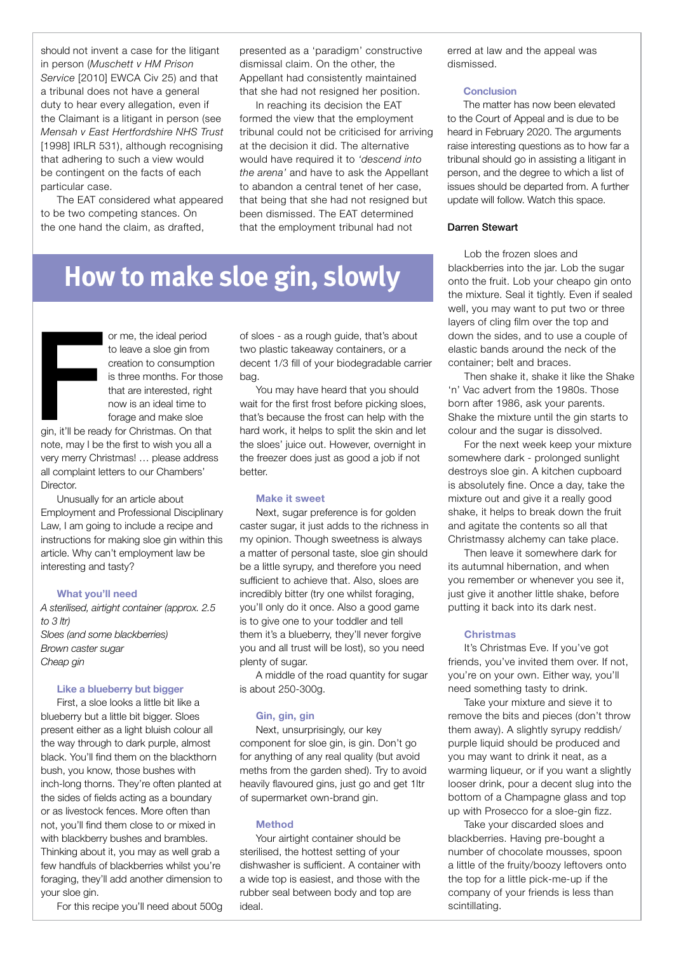should not invent a case for the litigant in person (*Muschett v HM Prison Service* [2010] EWCA Civ 25) and that a tribunal does not have a general duty to hear every allegation, even if the Claimant is a litigant in person (see *Mensah v East Hertfordshire NHS Trust* [1998] IRLR 531), although recognising that adhering to such a view would be contingent on the facts of each particular case.

The EAT considered what appeared to be two competing stances. On the one hand the claim, as drafted,

presented as a 'paradigm' constructive dismissal claim. On the other, the Appellant had consistently maintained that she had not resigned her position.

In reaching its decision the EAT formed the view that the employment tribunal could not be criticised for arriving at the decision it did. The alternative would have required it to *'descend into the arena'* and have to ask the Appellant to abandon a central tenet of her case, that being that she had not resigned but been dismissed. The EAT determined that the employment tribunal had not

# **How to make sloe gin, slowly**

or me, the ideal period to leave a sloe gin from creation to consumption is three months. For those that are interested, right now is an ideal time to forage and make sloe gin, it'll be read<br>pote may l be

gin, it'll be ready for Christmas. On that note, may I be the first to wish you all a very merry Christmas! … please address all complaint letters to our Chambers' **Director** 

Unusually for an article about Employment and Professional Disciplinary Law, I am going to include a recipe and instructions for making sloe gin within this article. Why can't employment law be interesting and tasty?

#### **What you'll need**

*A sterilised, airtight container (approx. 2.5 to 3 ltr) Sloes (and some blackberries) Brown caster sugar Cheap gin*

#### **Like a blueberry but bigger**

First, a sloe looks a little bit like a blueberry but a little bit bigger. Sloes present either as a light bluish colour all the way through to dark purple, almost black. You'll find them on the blackthorn bush, you know, those bushes with inch-long thorns. They're often planted at the sides of fields acting as a boundary or as livestock fences. More often than not, you'll find them close to or mixed in with blackberry bushes and brambles. Thinking about it, you may as well grab a few handfuls of blackberries whilst you're foraging, they'll add another dimension to your sloe gin.

For this recipe you'll need about 500g

of sloes - as a rough guide, that's about two plastic takeaway containers, or a decent 1/3 fill of your biodegradable carrier bag.

You may have heard that you should wait for the first frost before picking sloes, that's because the frost can help with the hard work, it helps to split the skin and let the sloes' juice out. However, overnight in the freezer does just as good a job if not better.

#### **Make it sweet**

Next, sugar preference is for golden caster sugar, it just adds to the richness in my opinion. Though sweetness is always a matter of personal taste, sloe gin should be a little syrupy, and therefore you need sufficient to achieve that. Also, sloes are incredibly bitter (try one whilst foraging, you'll only do it once. Also a good game is to give one to your toddler and tell them it's a blueberry, they'll never forgive you and all trust will be lost), so you need plenty of sugar.

A middle of the road quantity for sugar is about 250-300g.

#### **Gin, gin, gin**

Next, unsurprisingly, our key component for sloe gin, is gin. Don't go for anything of any real quality (but avoid meths from the garden shed). Try to avoid heavily flavoured gins, just go and get 1ltr of supermarket own-brand gin.

#### **Method**

Your airtight container should be sterilised, the hottest setting of your dishwasher is sufficient. A container with a wide top is easiest, and those with the rubber seal between body and top are ideal.

erred at law and the appeal was dismissed.

#### **Conclusion**

The matter has now been elevated to the Court of Appeal and is due to be heard in February 2020. The arguments raise interesting questions as to how far a tribunal should go in assisting a litigant in person, and the degree to which a list of issues should be departed from. A further update will follow. Watch this space.

#### Darren Stewart

Lob the frozen sloes and blackberries into the jar. Lob the sugar onto the fruit. Lob your cheapo gin onto the mixture. Seal it tightly. Even if sealed well, you may want to put two or three layers of cling film over the top and down the sides, and to use a couple of elastic bands around the neck of the container; belt and braces.

Then shake it, shake it like the Shake 'n' Vac advert from the 1980s. Those born after 1986, ask your parents. Shake the mixture until the gin starts to colour and the sugar is dissolved.

For the next week keep your mixture somewhere dark - prolonged sunlight destroys sloe gin. A kitchen cupboard is absolutely fine. Once a day, take the mixture out and give it a really good shake, it helps to break down the fruit and agitate the contents so all that Christmassy alchemy can take place.

Then leave it somewhere dark for its autumnal hibernation, and when you remember or whenever you see it, just give it another little shake, before putting it back into its dark nest.

#### **Christmas**

It's Christmas Eve. If you've got friends, you've invited them over. If not, you're on your own. Either way, you'll need something tasty to drink.

Take your mixture and sieve it to remove the bits and pieces (don't throw them away). A slightly syrupy reddish/ purple liquid should be produced and you may want to drink it neat, as a warming liqueur, or if you want a slightly looser drink, pour a decent slug into the bottom of a Champagne glass and top up with Prosecco for a sloe-gin fizz.

Take your discarded sloes and blackberries. Having pre-bought a number of chocolate mousses, spoon a little of the fruity/boozy leftovers onto the top for a little pick-me-up if the company of your friends is less than scintillating.